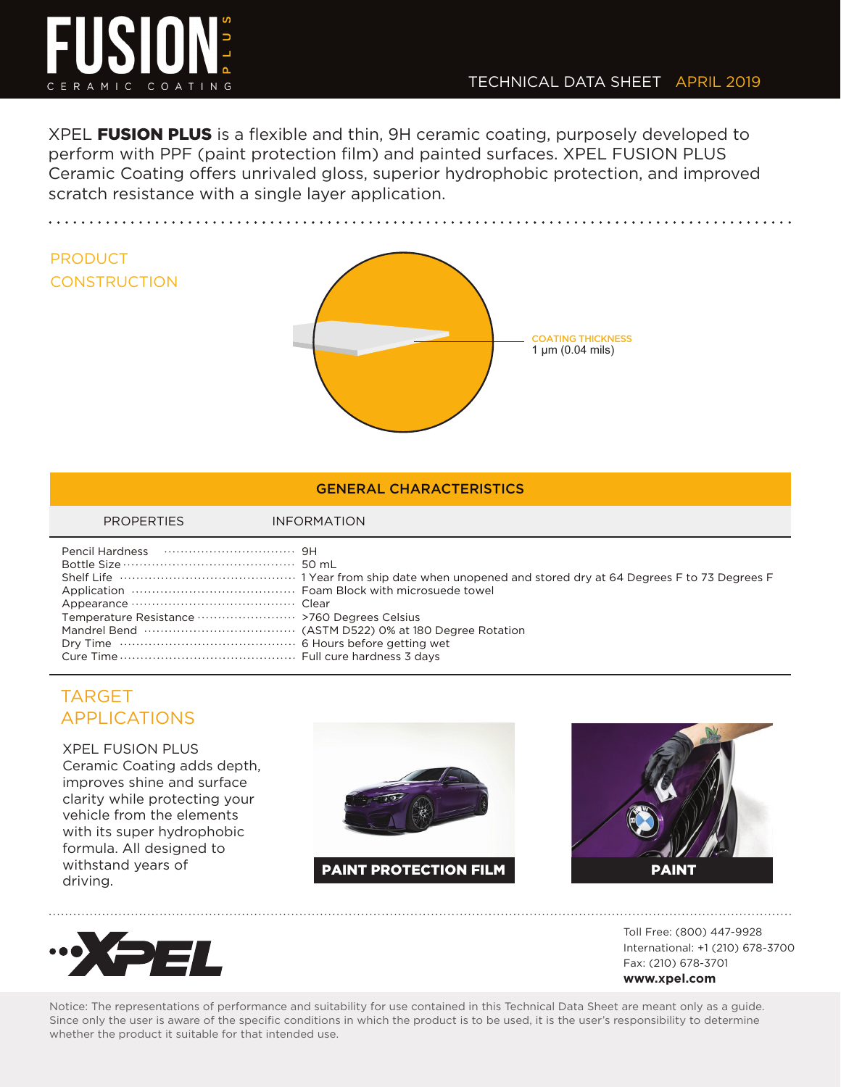

XPEL FUSION PLUS is a flexible and thin, 9H ceramic coating, purposely developed to perform with PPF (paint protection film) and painted surfaces. XPEL FUSION PLUS Ceramic Coating offers unrivaled gloss, superior hydrophobic protection, and improved scratch resistance with a single layer application.



## GENERAL CHARACTERISTICS

| <b>PROPERTIES</b> | <b>INFORMATION</b> |
|-------------------|--------------------|
|                   |                    |

## TARGET APPLICATIONS

XPEL FUSION PLUS Ceramic Coating adds depth, improves shine and surface clarity while protecting your vehicle from the elements with its super hydrophobic formula. All designed to withstand years of driving.





Toll Free: (800) 447-9928 International: +1 (210) 678-3700 Fax: (210) 678-3701 **www.xpel.com**



Notice: The representations of performance and suitability for use contained in this Technical Data Sheet are meant only as a guide. Since only the user is aware of the specific conditions in which the product is to be used, it is the user's responsibility to determine whether the product it suitable for that intended use.